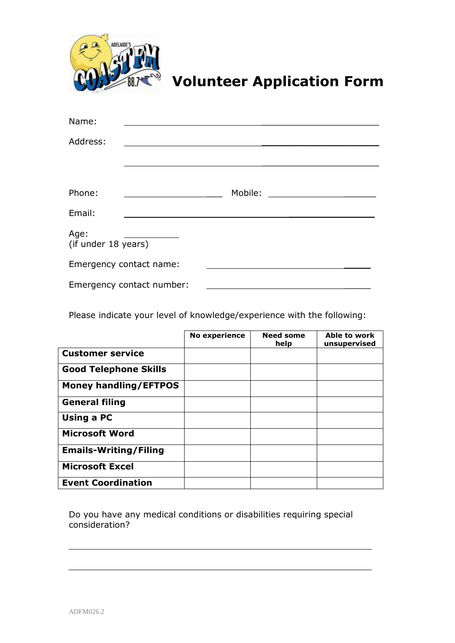

## **Volunteer Application Form**

| Name:                       |                           |         |  |
|-----------------------------|---------------------------|---------|--|
| Address:                    |                           |         |  |
|                             |                           |         |  |
|                             |                           |         |  |
| Phone:                      |                           | Mobile: |  |
| Email:                      |                           |         |  |
| Age:<br>(if under 18 years) |                           |         |  |
| Emergency contact name:     |                           |         |  |
|                             | Emergency contact number: |         |  |

Please indicate your level of knowledge/experience with the following:

|                              | <b>No experience</b> | <b>Need some</b><br>help | Able to work<br>unsupervised |
|------------------------------|----------------------|--------------------------|------------------------------|
| <b>Customer service</b>      |                      |                          |                              |
| <b>Good Telephone Skills</b> |                      |                          |                              |
| <b>Money handling/EFTPOS</b> |                      |                          |                              |
| <b>General filing</b>        |                      |                          |                              |
| Using a PC                   |                      |                          |                              |
| <b>Microsoft Word</b>        |                      |                          |                              |
| <b>Emails-Writing/Filing</b> |                      |                          |                              |
| <b>Microsoft Excel</b>       |                      |                          |                              |
| <b>Event Coordination</b>    |                      |                          |                              |

Do you have any medical conditions or disabilities requiring special consideration?

 $\overline{a}$